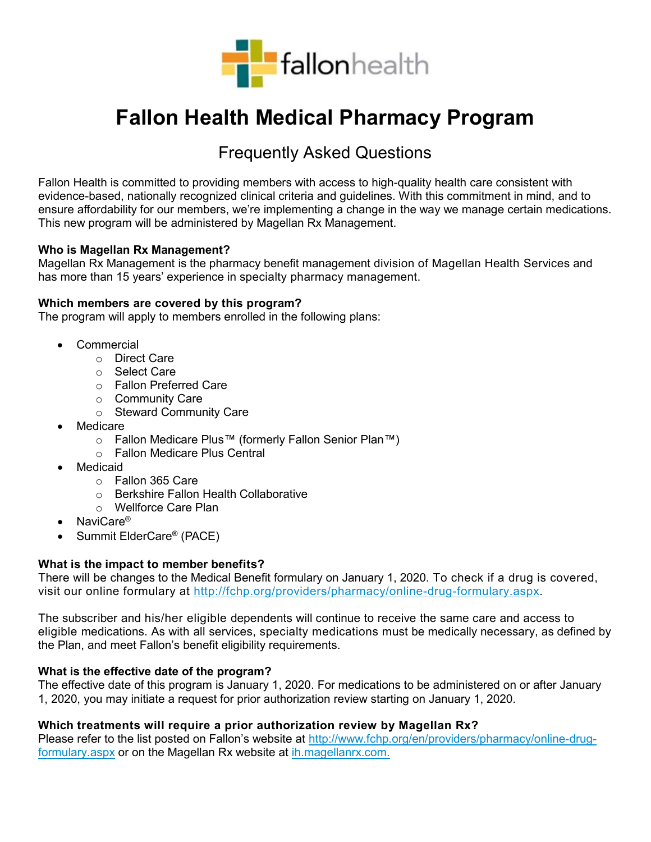

# **Fallon Health Medical Pharmacy Program**

## Frequently Asked Questions

Fallon Health is committed to providing members with access to high-quality health care consistent with evidence-based, nationally recognized clinical criteria and guidelines. With this commitment in mind, and to ensure affordability for our members, we're implementing a change in the way we manage certain medications. This new program will be administered by Magellan Rx Management.

#### **Who is Magellan Rx Management?**

Magellan Rx Management is the pharmacy benefit management division of Magellan Health Services and has more than 15 years' experience in specialty pharmacy management.

#### **Which members are covered by this program?**

The program will apply to members enrolled in the following plans:

- Commercial
	- o Direct Care
	- o Select Care
	- o Fallon Preferred Care
	- o Community Care
	- o Steward Community Care
- **Medicare** 
	- o Fallon Medicare Plus™ (formerly Fallon Senior Plan™)
	- o Fallon Medicare Plus Central
- **Medicaid** 
	- o Fallon 365 Care
	- o Berkshire Fallon Health Collaborative
	- o Wellforce Care Plan
- NaviCare®
- Summit ElderCare® (PACE)

#### **What is the impact to member benefits?**

There will be changes to the Medical Benefit formulary on January 1, 2020. To check if a drug is covered, visit our online formulary at [http://fchp.org/providers/pharmacy/online-drug-formulary.aspx.](http://fchp.org/providers/pharmacy/online-drug-formulary.aspx)

The subscriber and his/her eligible dependents will continue to receive the same care and access to eligible medications. As with all services, specialty medications must be medically necessary, as defined by the Plan, and meet Fallon's benefit eligibility requirements.

#### **What is the effective date of the program?**

The effective date of this program is January 1, 2020. For medications to be administered on or after January 1, 2020, you may initiate a request for prior authorization review starting on January 1, 2020.

#### **Which treatments will require a prior authorization review by Magellan Rx?**

Please refer to the list posted on Fallon's website at [http://www.fchp.org/en/providers/pharmacy/online-drug](http://www.fchp.org/en/providers/pharmacy/online-drug-formulary.aspx)[formulary.aspx](http://www.fchp.org/en/providers/pharmacy/online-drug-formulary.aspx) or on the Magellan Rx website at [ih.magellanrx.com.](http://ih.magellanrx.com/)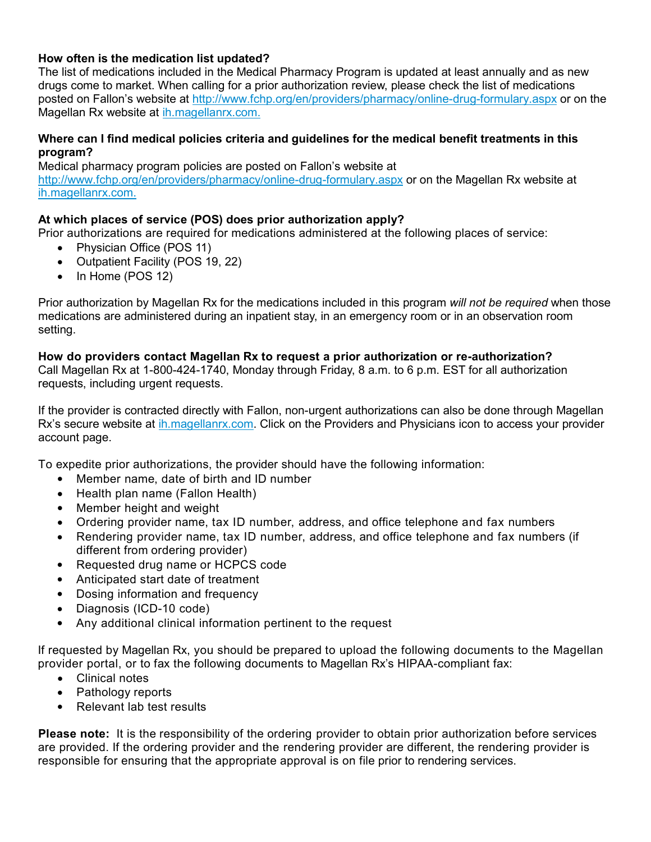#### **How often is the medication list updated?**

The list of medications included in the Medical Pharmacy Program is updated at least annually and as new drugs come to market. When calling for a prior authorization review, please check the list of medications posted on Fallon's website at<http://www.fchp.org/en/providers/pharmacy/online-drug-formulary.aspx> or on the Magellan Rx website at [ih.magellanrx.com.](http://ih.magellanrx.com/)

#### **Where can I find medical policies criteria and guidelines for the medical benefit treatments in this program?**

Medical pharmacy program policies are posted on Fallon's website at <http://www.fchp.org/en/providers/pharmacy/online-drug-formulary.aspx> or on the Magellan Rx website at [ih.magellanrx.com.](http://ih.magellanrx.com/)

#### **At which places of service (POS) does prior authorization apply?**

Prior authorizations are required for medications administered at the following places of service:

- Physician Office (POS 11)
- Outpatient Facility (POS 19, 22)
- In Home (POS 12)

Prior authorization by Magellan Rx for the medications included in this program *will not be required* when those medications are administered during an inpatient stay, in an emergency room or in an observation room setting.

#### **How do providers contact Magellan Rx to request a prior authorization or re-authorization?**

Call Magellan Rx at 1-800-424-1740, Monday through Friday, 8 a.m. to 6 p.m. EST for all authorization requests, including urgent requests.

If the provider is contracted directly with Fallon, non-urgent authorizations can also be done through Magellan Rx's secure website at [ih.magellanrx.com.](http://ih.magellanrx.com/) Click on the Providers and Physicians icon to access your provider account page.

To expedite prior authorizations, the provider should have the following information:

- Member name, date of birth and ID number
- Health plan name (Fallon Health)
- Member height and weight
- Ordering provider name, tax ID number, address, and office telephone and fax numbers
- Rendering provider name, tax ID number, address, and office telephone and fax numbers (if different from ordering provider)
- Requested drug name or HCPCS code
- Anticipated start date of treatment
- Dosing information and frequency
- Diagnosis (ICD-10 code)
- Any additional clinical information pertinent to the request

If requested by Magellan Rx, you should be prepared to upload the following documents to the Magellan provider portal, or to fax the following documents to Magellan Rx's HIPAA-compliant fax:

- Clinical notes
- Pathology reports
- Relevant lab test results

**Please note:** It is the responsibility of the ordering provider to obtain prior authorization before services are provided. If the ordering provider and the rendering provider are different, the rendering provider is responsible for ensuring that the appropriate approval is on file prior to rendering services.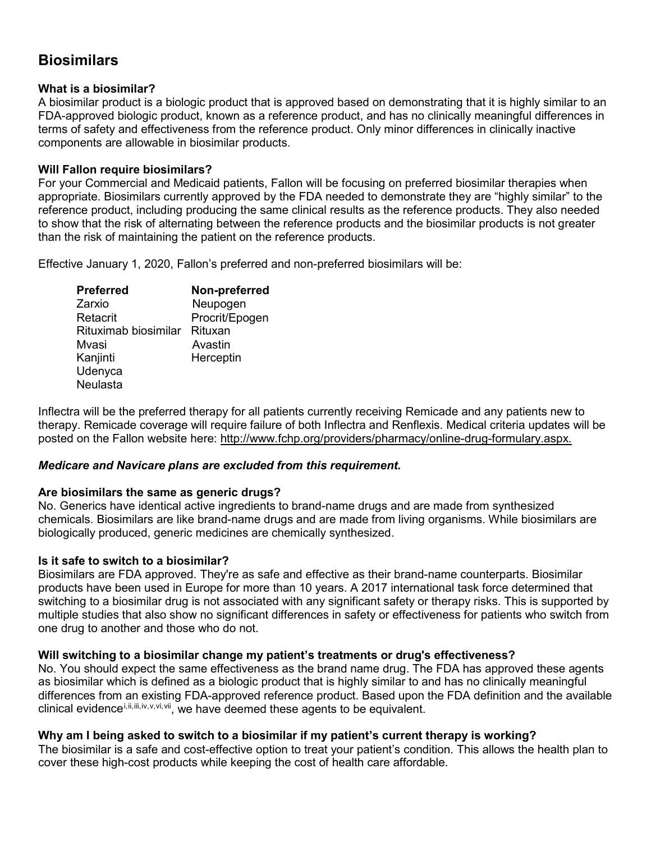## **Biosimilars**

#### **What is a biosimilar?**

A biosimilar product is a biologic product that is approved based on demonstrating that it is highly similar to an FDA-approved biologic product, known as a reference product, and has no clinically meaningful differences in terms of safety and effectiveness from the reference product. Only minor differences in clinically inactive components are allowable in biosimilar products.

#### **Will Fallon require biosimilars?**

For your Commercial and Medicaid patients, Fallon will be focusing on preferred biosimilar therapies when appropriate. Biosimilars currently approved by the FDA needed to demonstrate they are "highly similar" to the reference product, including producing the same clinical results as the reference products. They also needed to show that the risk of alternating between the reference products and the biosimilar products is not greater than the risk of maintaining the patient on the reference products.

Effective January 1, 2020, Fallon's preferred and non-preferred biosimilars will be:

| <b>Preferred</b>     | Non-preferred  |
|----------------------|----------------|
| Zarxio               | Neupogen       |
| Retacrit             | Procrit/Epogen |
| Rituximab biosimilar | Rituxan        |
| Mvasi                | Avastin        |
| Kanjinti             | Herceptin      |
| Udenyca              |                |
| Neulasta             |                |

Inflectra will be the preferred therapy for all patients currently receiving Remicade and any patients new to therapy. Remicade coverage will require failure of both Inflectra and Renflexis. Medical criteria updates will be posted on the Fallon website here: [http://www.fchp.org/providers/pharmacy/online-drug-formulary.aspx.](http://www.fchp.org/providers/pharmacy/online-drug-formulary.aspx)

#### *Medicare and Navicare plans are excluded from this requirement.*

#### **Are biosimilars the same as generic drugs?**

No. Generics have identical active ingredients to brand-name drugs and are made from synthesized chemicals. Biosimilars are like brand-name drugs and are made from living organisms. While biosimilars are biologically produced, generic medicines are chemically synthesized.

#### **Is it safe to switch to a biosimilar?**

Biosimilars are FDA approved. They're as safe and effective as their brand-name counterparts. Biosimilar products have been used in Europe for more than 10 years. A 2017 international task force determined that switching to a biosimilar drug is not associated with any significant safety or therapy risks. This is supported by multiple studies that also show no significant differences in safety or effectiveness for patients who switch from one drug to another and those who do not.

#### **Will switching to a biosimilar change my patient's treatments or drug's effectiveness?**

No. You should expect the same effectiveness as the brand name drug. The FDA has approved these agents as biosimilar which is defined as a biologic product that is highly similar to and has no clinically meaningful differences from an existing FDA-approved reference product. Based upon the FDA definition and the available  $\chi$  $\chi$ clinical evidence<sup>i,[ii,](#page-7-1)[iii,](#page-7-2)[iv](#page-7-3),[v](#page-7-4),[vi,](#page-7-5)vii</sup>, we have deemed these agents to be equivalent.

#### **Why am I being asked to switch to a biosimilar if my patient's current therapy is working?**

The biosimilar is a safe and cost-effective option to treat your patient's condition. This allows the health plan to cover these high-cost products while keeping the cost of health care affordable.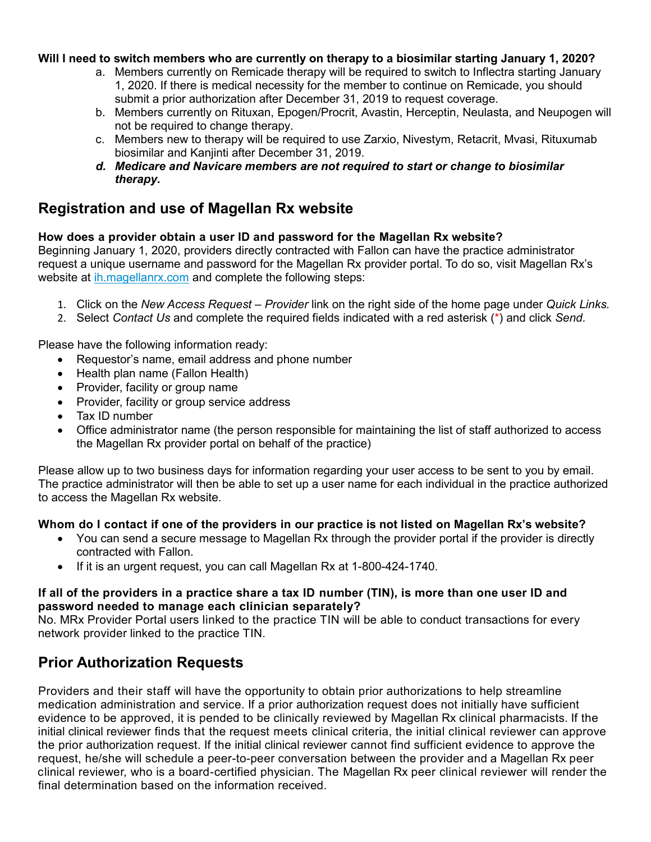#### **Will I need to switch members who are currently on therapy to a biosimilar starting January 1, 2020?**

- a. Members currently on Remicade therapy will be required to switch to Inflectra starting January 1, 2020. If there is medical necessity for the member to continue on Remicade, you should submit a prior authorization after December 31, 2019 to request coverage.
- b. Members currently on Rituxan, Epogen/Procrit, Avastin, Herceptin, Neulasta, and Neupogen will not be required to change therapy.
- c. Members new to therapy will be required to use Zarxio, Nivestym, Retacrit, Mvasi, Rituxumab biosimilar and Kanjinti after December 31, 2019.
- *d. Medicare and Navicare members are not required to start or change to biosimilar therapy.*

## **Registration and use of Magellan Rx website**

#### **How does a provider obtain a user ID and password for the Magellan Rx website?**

Beginning January 1, 2020, providers directly contracted with Fallon can have the practice administrator request a unique [username and password f](https://specialtydrug.magellanprovider.com/MagellanProvider/do/DisplayFaqHelp?categoryId=61&subcategoryId=520)or the Magellan Rx provider portal. To do so, visit Magellan Rx's website at [ih.magellanrx.com](http://ih.magellanrx.com/) and complete the following steps:

- 1. Click on the *New Access Request – Provider* link on the right side of the home page under *Quick Links.*
- 2. Select *Contact Us* and complete the required fields indicated with a red asterisk (\*) and click *Send*.

Please have the following information ready:

- Requestor's name, email address and phone number
- Health plan name (Fallon Health)
- Provider, facility or group name
- Provider, facility or group service address
- Tax ID number
- Office administrator name (the person responsible for maintaining the list of staff authorized to access the Magellan Rx provider portal on behalf of the practice)

Please allow up to two business days for information regarding your user access to be sent to you by email. The practice administrator will then be able to set up a user name for each individual in the practice authorized to access the Magellan Rx website.

#### **Whom do I contact if one of the providers in our practice is not listed on Magellan Rx's website?**

- You can send a secure message to Magellan Rx through the provider portal if the provider is directly contracted with Fallon.
- If it is an urgent request, you can call Magellan Rx at 1-800-424-1740.

#### If all of the providers in a practice share a tax ID number (TIN), is more than one user ID and **password needed to manage each clinician separately?**

No. MRx Provider Portal users linked to the practice TIN will be able to conduct transactions for every network provider linked to the practice TIN.

## **Prior Authorization Requests**

Providers and their staff will have the opportunity to obtain prior authorizations to help streamline medication administration and service. If a prior authorization request does not initially have sufficient evidence to be approved, it is pended to be clinically reviewed by Magellan Rx clinical pharmacists. If the initial clinical reviewer finds that the request meets clinical criteria, the initial clinical reviewer can approve the prior authorization request. If the initial clinical reviewer cannot find sufficient evidence to approve the request, he/she will schedule a peer-to-peer conversation between the provider and a Magellan Rx peer clinical reviewer, who is a board-certified physician. The Magellan Rx peer clinical reviewer will render the final determination based on the information received.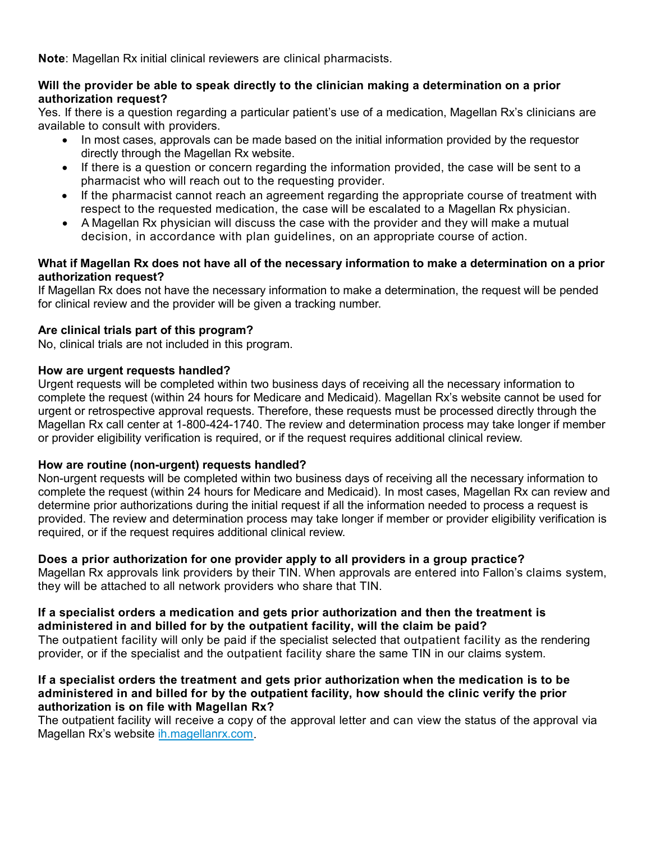**Note**: Magellan Rx initial clinical reviewers are clinical pharmacists.

#### **Will the provider be able to speak directly to the clinician making a determination on a prior authorization request?**

Yes. If there is a question regarding a particular patient's use of a medication, Magellan Rx's clinicians are available to consult with providers.

- In most cases, approvals can be made based on the initial information provided by the requestor directly through the Magellan Rx website.
- If there is a question or concern regarding the information provided, the case will be sent to a pharmacist who will reach out to the requesting provider.
- If the pharmacist cannot reach an agreement regarding the appropriate course of treatment with respect to the requested medication, the case will be escalated to a Magellan Rx physician.
- A Magellan Rx physician will discuss the case with the provider and they will make a mutual decision, in accordance with plan guidelines, on an appropriate course of action.

#### **What if Magellan Rx does not have all of the necessary information to make a determination on a prior authorization request?**

If Magellan Rx does not have the necessary information to make a determination, the request will be pended for clinical review and the provider will be given a tracking number.

#### **Are clinical trials part of this program?**

No, clinical trials are not included in this program.

#### **How are urgent requests handled?**

Urgent requests will be completed within two business days of receiving all the necessary information to complete the request (within 24 hours for Medicare and Medicaid). Magellan Rx's website cannot be used for urgent or retrospective approval requests. Therefore, these requests must be processed directly through the Magellan Rx call center at 1-800-424-1740. The review and determination process may take longer if member or provider eligibility verification is required, or if the request requires additional clinical review.

#### **How are routine (non-urgent) requests handled?**

Non-urgent requests will be completed within two business days of receiving all the necessary information to complete the request (within 24 hours for Medicare and Medicaid). In most cases, Magellan Rx can review and determine prior authorizations during the initial request if all the information needed to process a request is provided. The review and determination process may take longer if member or provider eligibility verification is required, or if the request requires additional clinical review.

#### **Does a prior authorization for one provider apply to all providers in a group practice?**

Magellan Rx approvals link providers by their TIN. When approvals are entered into Fallon's claims system, they will be attached to all network providers who share that TIN.

#### **If a specialist orders a medication and gets prior authorization and then the treatment is administered in and billed for by the outpatient facility, will the claim be paid?**

The outpatient facility will only be paid if the specialist selected that outpatient facility as the rendering provider, or if the specialist and the outpatient facility share the same TIN in our claims system.

#### **If a specialist orders the treatment and gets prior authorization when the medication is to be administered in and billed for by the outpatient facility, how should the clinic verify the prior authorization is on file with Magellan Rx?**

The outpatient facility will receive a copy of the approval letter and can view the status of the approval via Magellan Rx's website [ih.magellanrx.com.](http://ih.magellanrx.com/)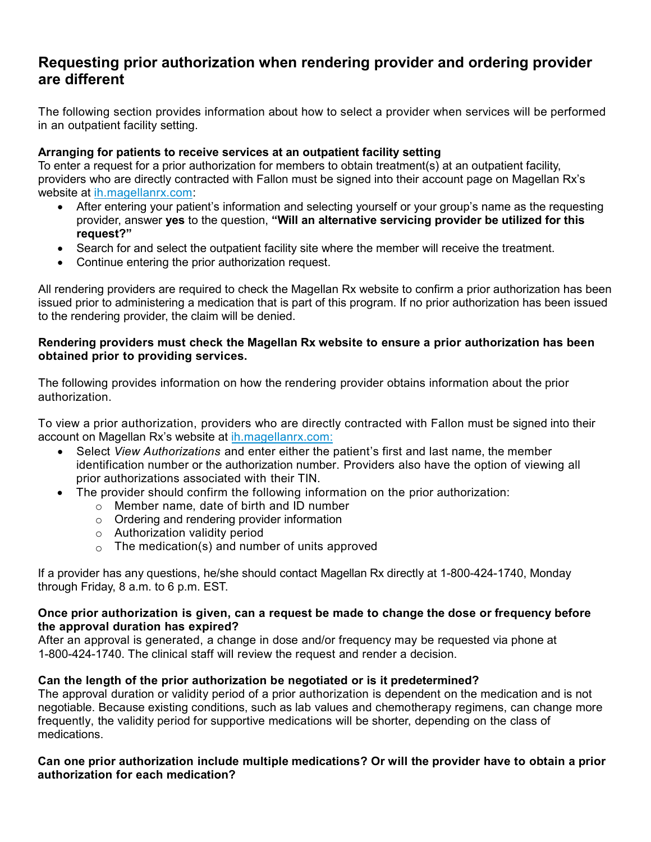## **Requesting prior authorization when rendering provider and ordering provider are different**

The following section provides information about how to select a provider when services will be performed in an outpatient facility setting.

#### **Arranging for patients to receive services at an outpatient facility setting**

To enter a request for a prior authorization for members to obtain treatment(s) at an outpatient facility, providers who are directly contracted with Fallon must be signed into their account page on Magellan Rx's website at [ih.magellanrx.com:](http://ih.magellanrx.com/)

- After entering your patient's information and selecting yourself or your group's name as the requesting provider, answer **yes** to the question, **"Will an alternative servicing provider be utilized for this request?"**
- Search for and select the outpatient facility site where the member will receive the treatment.
- Continue entering the prior authorization request.

All rendering providers are required to check the Magellan Rx website to confirm a prior authorization has been issued prior to administering a medication that is part of this program. If no prior authorization has been issued to the rendering provider, the claim will be denied.

#### **Rendering providers must check the [Magellan Rx website](https://specialtydrug.magellanprovider.com/MagellanProvider/do/LoadHome) to ensure a prior authorization has been obtained prior to providing services.**

The following provides information on how the rendering provider obtains information about the prior authorization.

To view a prior authorization, providers who are directly contracted with Fallon must be signed into their account on Magellan Rx's website at [ih.magellanrx.com:](http://ih.magellanrx.com/)

- Select *View Authorizations* and enter either the patient's first and last name, the member identification number or the authorization number. Providers also have the option of viewing all prior authorizations associated with their TIN.
- The provider should confirm the following information on the prior authorization:
	- o Member name, date of birth and ID number
	- o Ordering and rendering provider information
	- o Authorization validity period
	- $\circ$  The medication(s) and number of units approved

If a provider has any questions, he/she should contact Magellan Rx directly at 1-800-424-1740, Monday through Friday, 8 a.m. to 6 p.m. EST.

#### **Once prior authorization is given, can a request be made to change the dose or frequency before the approval duration has expired?**

After an approval is generated, a change in dose and/or frequency may be requested via phone at 1-800-424-1740. The clinical staff will review the request and render a decision.

#### **Can the length of the prior authorization be negotiated or is it predetermined?**

The approval duration or validity period of a prior authorization is dependent on the medication and is not negotiable. Because existing conditions, such as lab values and chemotherapy regimens, can change more frequently, the validity period for supportive medications will be shorter, depending on the class of medications.

#### **Can one prior authorization include multiple medications? Or will the provider have to obtain a prior authorization for each medication?**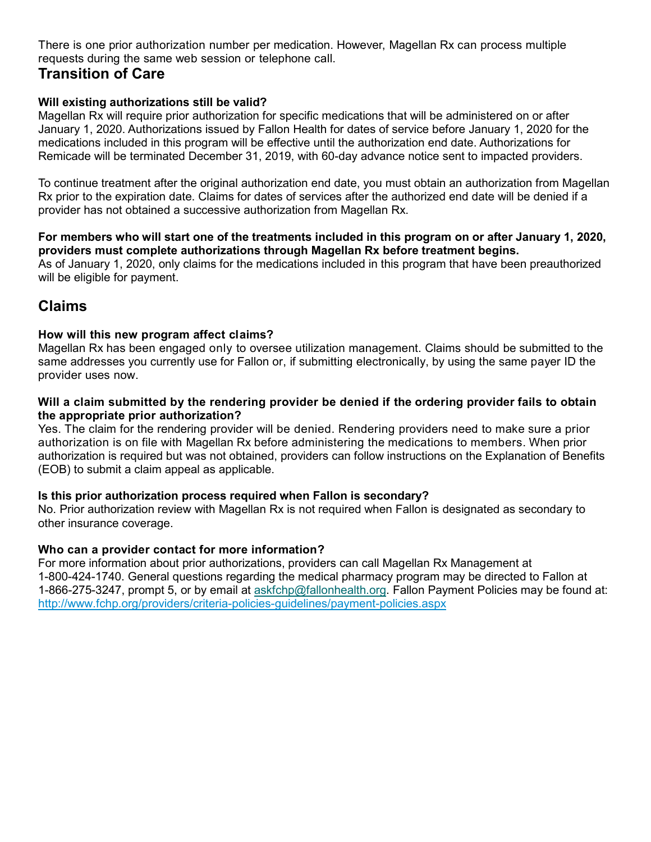There is one prior authorization number per medication. However, Magellan Rx can process multiple requests during the same web session or telephone call.

## **Transition of Care**

#### **Will existing authorizations still be valid?**

Magellan Rx will require prior authorization for specific medications that will be administered on or after January 1, 2020. Authorizations issued by Fallon Health for dates of service before January 1, 2020 for the medications included in this program will be effective until the authorization end date. Authorizations for Remicade will be terminated December 31, 2019, with 60-day advance notice sent to impacted providers.

To continue treatment after the original authorization end date, you must obtain an authorization from Magellan Rx prior to the expiration date. Claims for dates of services after the authorized end date will be denied if a provider has not obtained a successive authorization from Magellan Rx.

#### **For members who will start one of the treatments included in this program on or after January 1, 2020, providers must complete authorizations through Magellan Rx before treatment begins.**

As of January 1, 2020, only claims for the medications included in this program that have been preauthorized will be eligible for payment.

## **Claims**

#### **How will this new program affect claims?**

Magellan Rx has been engaged only to oversee utilization management. Claims should be submitted to the same addresses you currently use for Fallon or, if submitting electronically, by using the same payer ID the provider uses now.

#### **Will a claim submitted by the rendering provider be denied if the ordering provider fails to obtain the appropriate prior authorization?**

Yes. The claim for the rendering provider will be denied. Rendering providers need to make sure a prior authorization is on file with Magellan Rx before administering the medications to members. When prior authorization is required but was not obtained, providers can follow instructions on the Explanation of Benefits (EOB) to submit a claim appeal as applicable.

#### **Is this prior authorization process required when Fallon is secondary?**

No. Prior authorization review with Magellan Rx is not required when Fallon is designated as secondary to other insurance coverage.

### **Who can a provider contact for more information?**

For more information about prior authorizations, providers can call Magellan Rx Management at 1-800-424-1740. General questions regarding the medical pharmacy program may be directed to Fallon at 1-866-275-3247, prompt 5, or by email at [askfchp@fallonhealth.org.](mailto:askfchp@fallonhealth.org) Fallon Payment Policies may be found at: [http://www.fchp.org/providers/criteria-policies-guidelines/payment-policies.aspx](https://nam05.safelinks.protection.outlook.com/?url=http%3A%2F%2Fwww.fchp.org%2Fproviders%2Fcriteria-policies-guidelines%2Fpayment-policies.aspx&data=01%7C01%7CBenjamin.Barner%40fallonhealth.org%7C0a3f9518a5f544db019408d72caacfa7%7C86dcdeaaad5341099de51e7caf8116fb%7C1&sdata=Ski7end6FSA7gaEs80C5co2QadVKmsIYHsPtq9mFhnI%3D&reserved=0)